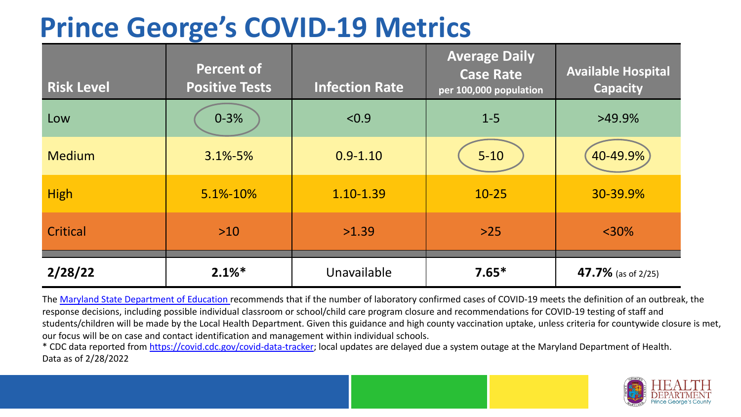## **Prince George's COVID-19 Metrics**

| <b>Risk Level</b> | <b>Percent of</b><br><b>Positive Tests</b> | <b>Infection Rate</b> | <b>Average Daily</b><br><b>Case Rate</b><br>per 100,000 population | <b>Available Hospital</b><br><b>Capacity</b> |
|-------------------|--------------------------------------------|-----------------------|--------------------------------------------------------------------|----------------------------------------------|
| Low               | $0 - 3%$                                   | < 0.9                 | $1 - 5$                                                            | $>49.9\%$                                    |
| <b>Medium</b>     | $3.1\% - 5\%$                              | $0.9 - 1.10$          | $5 - 10$                                                           | 40-49.9%                                     |
| <b>High</b>       | 5.1%-10%                                   | 1.10-1.39             | $10 - 25$                                                          | 30-39.9%                                     |
| Critical          | $>10$                                      | >1.39                 | $>25$                                                              | $<$ 30%                                      |
| 2/28/22           | $2.1\%$ <sup>*</sup>                       | Unavailable           | $7.65*$                                                            | 47.7% (as of 2/25)                           |

The [Maryland State Department of Education](https://earlychildhood.marylandpublicschools.org/system/files/filedepot/3/covid_guidance_full_080420.pdf) recommends that if the number of laboratory confirmed cases of COVID-19 meets the definition of an outbreak, the response decisions, including possible individual classroom or school/child care program closure and recommendations for COVID-19 testing of staff and students/children will be made by the Local Health Department. Given this guidance and high county vaccination uptake, unless criteria for countywide closure is met, our focus will be on case and contact identification and management within individual schools.

\* CDC data reported from <https://covid.cdc.gov/covid-data-tracker>; local updates are delayed due a system outage at the Maryland Department of Health. Data as of 2/28/2022

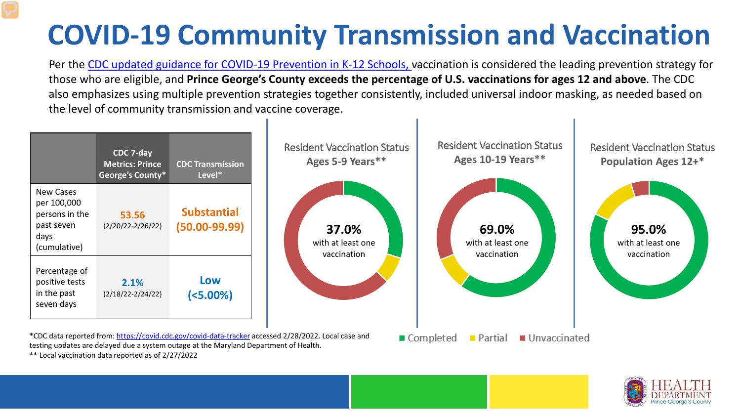## **COVID-19 Community Transmission and Vaccination**

Per the [CDC updated guidance for COVID-19 Prevention in K-12 Schools,](https://www.cdc.gov/coronavirus/2019-ncov/community/schools-childcare/k-12-guidance.html) vaccination is considered the leading prevention strategy for those who are eligible, and **Prince George's County exceeds the percentage of U.S. vaccinations for ages 12 and above**. The CDC also emphasizes using multiple prevention strategies together consistently, included universal indoor masking, as needed based on the level of community transmission and vaccine coverage.



\*\* Local vaccination data reported as of 2/27/2022